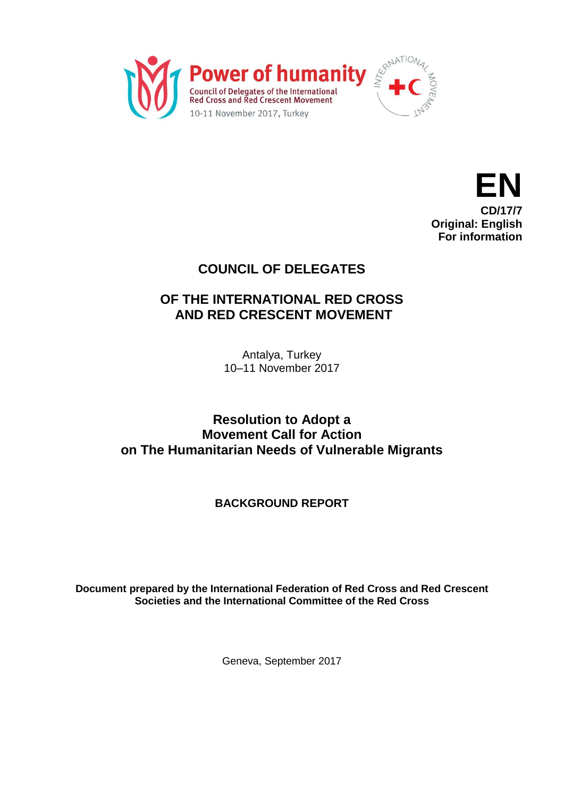



# **COUNCIL OF DELEGATES**

## **OF THE INTERNATIONAL RED CROSS AND RED CRESCENT MOVEMENT**

Antalya, Turkey 10–11 November 2017

## **Resolution to Adopt a Movement Call for Action on The Humanitarian Needs of Vulnerable Migrants**

## **BACKGROUND REPORT**

**Document prepared by the International Federation of Red Cross and Red Crescent Societies and the International Committee of the Red Cross**

Geneva, September 2017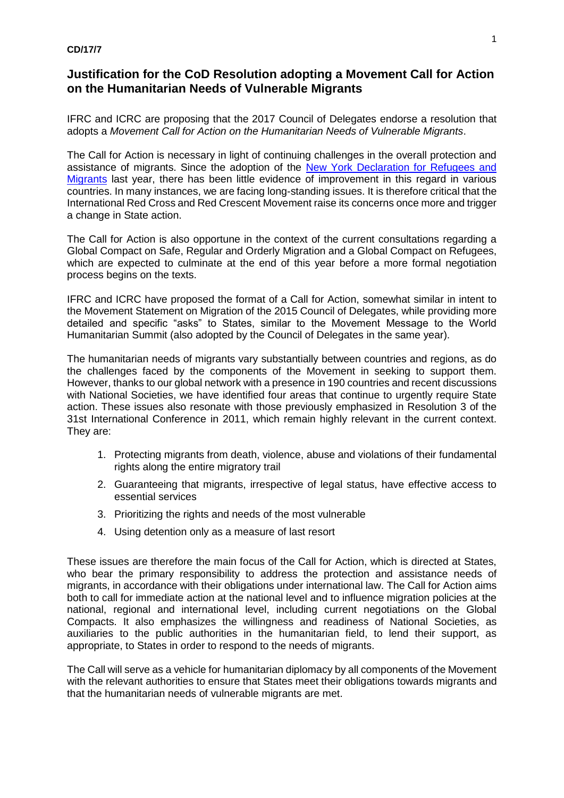#### **CD/17/7**

#### **Justification for the CoD Resolution adopting a Movement Call for Action on the Humanitarian Needs of Vulnerable Migrants**

IFRC and ICRC are proposing that the 2017 Council of Delegates endorse a resolution that adopts a *Movement Call for Action on the Humanitarian Needs of Vulnerable Migrants*.

The Call for Action is necessary in light of continuing challenges in the overall protection and assistance of migrants. Since the adoption of the [New York Declaration for Refugees and](http://www.unhcr.org/new-york-declaration-for-refugees-and-migrants.html)  [Migrants](http://www.unhcr.org/new-york-declaration-for-refugees-and-migrants.html) last year, there has been little evidence of improvement in this regard in various countries. In many instances, we are facing long-standing issues. It is therefore critical that the International Red Cross and Red Crescent Movement raise its concerns once more and trigger a change in State action.

The Call for Action is also opportune in the context of the current consultations regarding a Global Compact on Safe, Regular and Orderly Migration and a Global Compact on Refugees, which are expected to culminate at the end of this year before a more formal negotiation process begins on the texts.

IFRC and ICRC have proposed the format of a Call for Action, somewhat similar in intent to the Movement Statement on Migration of the 2015 Council of Delegates, while providing more detailed and specific "asks" to States, similar to the Movement Message to the World Humanitarian Summit (also adopted by the Council of Delegates in the same year).

The humanitarian needs of migrants vary substantially between countries and regions, as do the challenges faced by the components of the Movement in seeking to support them. However, thanks to our global network with a presence in 190 countries and recent discussions with National Societies, we have identified four areas that continue to urgently require State action. These issues also resonate with those previously emphasized in Resolution 3 of the 31st International Conference in 2011, which remain highly relevant in the current context. They are:

- 1. Protecting migrants from death, violence, abuse and violations of their fundamental rights along the entire migratory trail
- 2. Guaranteeing that migrants, irrespective of legal status, have effective access to essential services
- 3. Prioritizing the rights and needs of the most vulnerable
- 4. Using detention only as a measure of last resort

These issues are therefore the main focus of the Call for Action, which is directed at States, who bear the primary responsibility to address the protection and assistance needs of migrants, in accordance with their obligations under international law. The Call for Action aims both to call for immediate action at the national level and to influence migration policies at the national, regional and international level, including current negotiations on the Global Compacts. It also emphasizes the willingness and readiness of National Societies, as auxiliaries to the public authorities in the humanitarian field, to lend their support, as appropriate, to States in order to respond to the needs of migrants.

The Call will serve as a vehicle for humanitarian diplomacy by all components of the Movement with the relevant authorities to ensure that States meet their obligations towards migrants and that the humanitarian needs of vulnerable migrants are met.